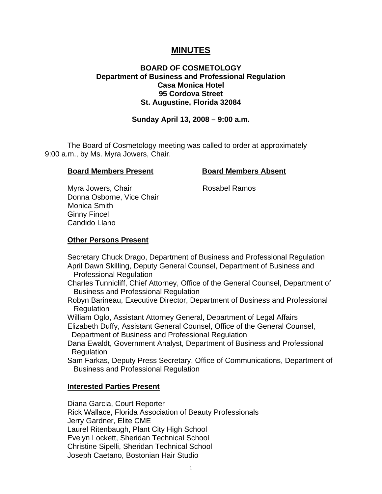# **MINUTES**

### **BOARD OF COSMETOLOGY Department of Business and Professional Regulation Casa Monica Hotel 95 Cordova Street St. Augustine, Florida 32084**

#### **Sunday April 13, 2008 – 9:00 a.m.**

 The Board of Cosmetology meeting was called to order at approximately 9:00 a.m., by Ms. Myra Jowers, Chair.

#### **Board Members Present Board Members Absent**

Myra Jowers, Chair **Rosabel Ramos**  Donna Osborne, Vice Chair Monica Smith Ginny Fincel Candido Llano

#### **Other Persons Present**

 Secretary Chuck Drago, Department of Business and Professional Regulation April Dawn Skilling, Deputy General Counsel, Department of Business and Professional Regulation

- Charles Tunnicliff, Chief Attorney, Office of the General Counsel, Department of Business and Professional Regulation
- Robyn Barineau, Executive Director, Department of Business and Professional **Regulation**
- William Oglo, Assistant Attorney General, Department of Legal Affairs
- Elizabeth Duffy, Assistant General Counsel, Office of the General Counsel, Department of Business and Professional Regulation
- Dana Ewaldt, Government Analyst, Department of Business and Professional **Regulation**
- Sam Farkas, Deputy Press Secretary, Office of Communications, Department of Business and Professional Regulation

#### **Interested Parties Present**

Diana Garcia, Court Reporter Rick Wallace, Florida Association of Beauty Professionals Jerry Gardner, Elite CME Laurel Ritenbaugh, Plant City High School Evelyn Lockett, Sheridan Technical School Christine Sipelli, Sheridan Technical School Joseph Caetano, Bostonian Hair Studio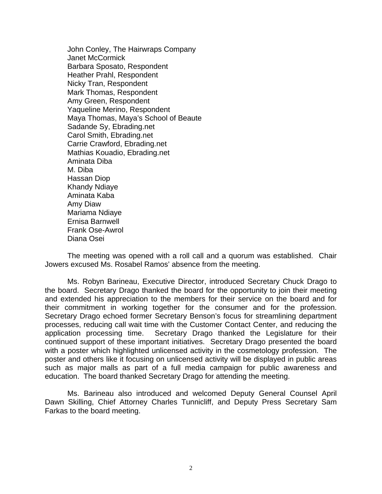John Conley, The Hairwraps Company Janet McCormick Barbara Sposato, Respondent Heather Prahl, Respondent Nicky Tran, Respondent Mark Thomas, Respondent Amy Green, Respondent Yaqueline Merino, Respondent Maya Thomas, Maya's School of Beaute Sadande Sy, Ebrading.net Carol Smith, Ebrading.net Carrie Crawford, Ebrading.net Mathias Kouadio, Ebrading.net Aminata Diba M. Diba Hassan Diop Khandy Ndiaye Aminata Kaba Amy Diaw Mariama Ndiaye Ernisa Barnwell Frank Ose-Awrol Diana Osei

 The meeting was opened with a roll call and a quorum was established. Chair Jowers excused Ms. Rosabel Ramos' absence from the meeting.

 Ms. Robyn Barineau, Executive Director, introduced Secretary Chuck Drago to the board. Secretary Drago thanked the board for the opportunity to join their meeting and extended his appreciation to the members for their service on the board and for their commitment in working together for the consumer and for the profession. Secretary Drago echoed former Secretary Benson's focus for streamlining department processes, reducing call wait time with the Customer Contact Center, and reducing the application processing time. Secretary Drago thanked the Legislature for their continued support of these important initiatives. Secretary Drago presented the board with a poster which highlighted unlicensed activity in the cosmetology profession. The poster and others like it focusing on unlicensed activity will be displayed in public areas such as major malls as part of a full media campaign for public awareness and education. The board thanked Secretary Drago for attending the meeting.

 Ms. Barineau also introduced and welcomed Deputy General Counsel April Dawn Skilling, Chief Attorney Charles Tunnicliff, and Deputy Press Secretary Sam Farkas to the board meeting.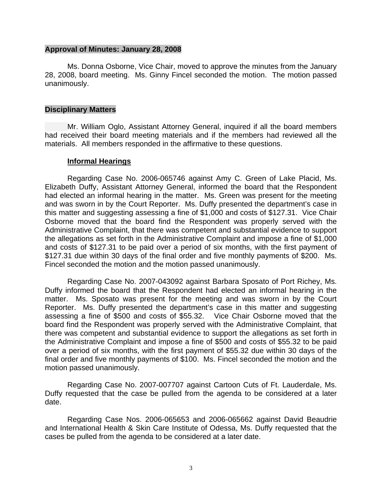#### **Approval of Minutes: January 28, 2008**

Ms. Donna Osborne, Vice Chair, moved to approve the minutes from the January 28, 2008, board meeting. Ms. Ginny Fincel seconded the motion. The motion passed unanimously.

#### **Disciplinary Matters**

Mr. William Oglo, Assistant Attorney General, inquired if all the board members had received their board meeting materials and if the members had reviewed all the materials. All members responded in the affirmative to these questions.

#### **Informal Hearings**

 Regarding Case No. 2006-065746 against Amy C. Green of Lake Placid, Ms. Elizabeth Duffy, Assistant Attorney General, informed the board that the Respondent had elected an informal hearing in the matter. Ms. Green was present for the meeting and was sworn in by the Court Reporter. Ms. Duffy presented the department's case in this matter and suggesting assessing a fine of \$1,000 and costs of \$127.31. Vice Chair Osborne moved that the board find the Respondent was properly served with the Administrative Complaint, that there was competent and substantial evidence to support the allegations as set forth in the Administrative Complaint and impose a fine of \$1,000 and costs of \$127.31 to be paid over a period of six months, with the first payment of \$127.31 due within 30 days of the final order and five monthly payments of \$200. Ms. Fincel seconded the motion and the motion passed unanimously.

 Regarding Case No. 2007-043092 against Barbara Sposato of Port Richey, Ms. Duffy informed the board that the Respondent had elected an informal hearing in the matter. Ms. Sposato was present for the meeting and was sworn in by the Court Reporter. Ms. Duffy presented the department's case in this matter and suggesting assessing a fine of \$500 and costs of \$55.32. Vice Chair Osborne moved that the board find the Respondent was properly served with the Administrative Complaint, that there was competent and substantial evidence to support the allegations as set forth in the Administrative Complaint and impose a fine of \$500 and costs of \$55.32 to be paid over a period of six months, with the first payment of \$55.32 due within 30 days of the final order and five monthly payments of \$100. Ms. Fincel seconded the motion and the motion passed unanimously.

 Regarding Case No. 2007-007707 against Cartoon Cuts of Ft. Lauderdale, Ms. Duffy requested that the case be pulled from the agenda to be considered at a later date.

 Regarding Case Nos. 2006-065653 and 2006-065662 against David Beaudrie and International Health & Skin Care Institute of Odessa, Ms. Duffy requested that the cases be pulled from the agenda to be considered at a later date.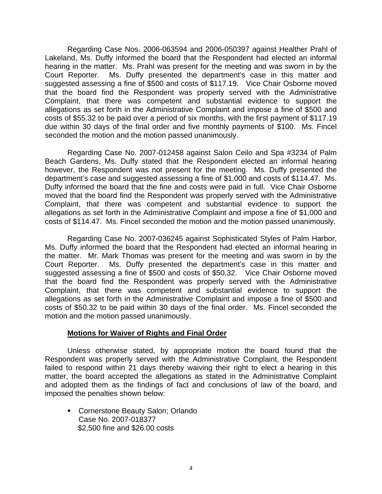Regarding Case Nos. 2006-063594 and 2006-050397 against Healther Prahl of Lakeland, Ms. Duffy informed the board that the Respondent had elected an informal hearing in the matter. Ms. Prahl was present for the meeting and was sworn in by the Court Reporter. Ms. Duffy presented the department's case in this matter and suggested assessing a fine of \$500 and costs of \$117.19. Vice Chair Osborne moved that the board find the Respondent was properly served with the Administrative Complaint, that there was competent and substantial evidence to support the allegations as set forth in the Administrative Complaint and impose a fine of \$500 and costs of \$55.32 to be paid over a period of six months, with the first payment of \$117.19 due within 30 days of the final order and five monthly payments of \$100. Ms. Fincel seconded the motion and the motion passed unanimously.

 Regarding Case No. 2007-012458 against Salon Ceilo and Spa #3234 of Palm Beach Gardens, Ms. Duffy stated that the Respondent elected an informal hearing however, the Respondent was not present for the meeting. Ms. Duffy presented the department's case and suggested assessing a fine of \$1,000 and costs of \$114.47. Ms. Duffy informed the board that the fine and costs were paid in full. Vice Chair Osborne moved that the board find the Respondent was properly served with the Administrative Complaint, that there was competent and substantial evidence to support the allegations as set forth in the Administrative Complaint and impose a fine of \$1,000 and costs of \$114.47. Ms. Fincel seconded the motion and the motion passed unanimously.

 Regarding Case No. 2007-036245 against Sophisticated Styles of Palm Harbor, Ms. Duffy informed the board that the Respondent had elected an informal hearing in the matter. Mr. Mark Thomas was present for the meeting and was sworn in by the Court Reporter. Ms. Duffy presented the department's case in this matter and suggested assessing a fine of \$500 and costs of \$50.32. Vice Chair Osborne moved that the board find the Respondent was properly served with the Administrative Complaint, that there was competent and substantial evidence to support the allegations as set forth in the Administrative Complaint and impose a fine of \$500 and costs of \$50.32 to be paid within 30 days of the final order. Ms. Fincel seconded the motion and the motion passed unanimously.

#### **Motions for Waiver of Rights and Final Order**

 Unless otherwise stated, by appropriate motion the board found that the Respondent was properly served with the Administrative Complaint, the Respondent failed to respond within 21 days thereby waiving their right to elect a hearing in this matter, the board accepted the allegations as stated in the Administrative Complaint and adopted them as the findings of fact and conclusions of law of the board, and imposed the penalties shown below:

**EXECOTE:** Cornerstone Beauty Salon; Orlando Case No. 2007-018377 \$2,500 fine and \$26.00 costs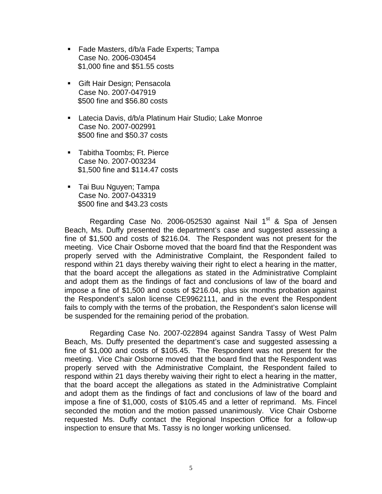- Fade Masters, d/b/a Fade Experts; Tampa Case No. 2006-030454 \$1,000 fine and \$51.55 costs
- **Gift Hair Design; Pensacola** Case No. 2007-047919 \$500 fine and \$56.80 costs
- Latecia Davis, d/b/a Platinum Hair Studio; Lake Monroe Case No. 2007-002991 \$500 fine and \$50.37 costs
- Tabitha Toombs; Ft. Pierce Case No. 2007-003234 \$1,500 fine and \$114.47 costs
- Tai Buu Nguyen; Tampa Case No. 2007-043319 \$500 fine and \$43.23 costs

Regarding Case No. 2006-052530 against Nail 1<sup>st</sup> & Spa of Jensen Beach, Ms. Duffy presented the department's case and suggested assessing a fine of \$1,500 and costs of \$216.04. The Respondent was not present for the meeting. Vice Chair Osborne moved that the board find that the Respondent was properly served with the Administrative Complaint, the Respondent failed to respond within 21 days thereby waiving their right to elect a hearing in the matter, that the board accept the allegations as stated in the Administrative Complaint and adopt them as the findings of fact and conclusions of law of the board and impose a fine of \$1,500 and costs of \$216.04, plus six months probation against the Respondent's salon license CE9962111, and in the event the Respondent fails to comply with the terms of the probation, the Respondent's salon license will be suspended for the remaining period of the probation.

 Regarding Case No. 2007-022894 against Sandra Tassy of West Palm Beach, Ms. Duffy presented the department's case and suggested assessing a fine of \$1,000 and costs of \$105.45. The Respondent was not present for the meeting. Vice Chair Osborne moved that the board find that the Respondent was properly served with the Administrative Complaint, the Respondent failed to respond within 21 days thereby waiving their right to elect a hearing in the matter, that the board accept the allegations as stated in the Administrative Complaint and adopt them as the findings of fact and conclusions of law of the board and impose a fine of \$1,000, costs of \$105.45 and a letter of reprimand. Ms. Fincel seconded the motion and the motion passed unanimously. Vice Chair Osborne requested Ms. Duffy contact the Regional Inspection Office for a follow-up inspection to ensure that Ms. Tassy is no longer working unlicensed.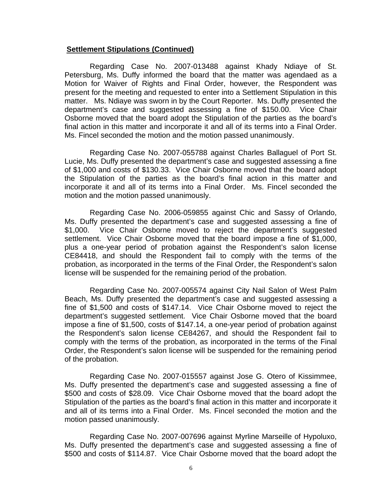#### **Settlement Stipulations (Continued)**

 Regarding Case No. 2007-013488 against Khady Ndiaye of St. Petersburg, Ms. Duffy informed the board that the matter was agendaed as a Motion for Waiver of Rights and Final Order, however, the Respondent was present for the meeting and requested to enter into a Settlement Stipulation in this matter. Ms. Ndiaye was sworn in by the Court Reporter. Ms. Duffy presented the department's case and suggested assessing a fine of \$150.00. Vice Chair Osborne moved that the board adopt the Stipulation of the parties as the board's final action in this matter and incorporate it and all of its terms into a Final Order. Ms. Fincel seconded the motion and the motion passed unanimously.

 Regarding Case No. 2007-055788 against Charles Ballaguel of Port St. Lucie, Ms. Duffy presented the department's case and suggested assessing a fine of \$1,000 and costs of \$130.33. Vice Chair Osborne moved that the board adopt the Stipulation of the parties as the board's final action in this matter and incorporate it and all of its terms into a Final Order. Ms. Fincel seconded the motion and the motion passed unanimously.

 Regarding Case No. 2006-059855 against Chic and Sassy of Orlando, Ms. Duffy presented the department's case and suggested assessing a fine of \$1,000. Vice Chair Osborne moved to reject the department's suggested settlement. Vice Chair Osborne moved that the board impose a fine of \$1,000, plus a one-year period of probation against the Respondent's salon license CE84418, and should the Respondent fail to comply with the terms of the probation, as incorporated in the terms of the Final Order, the Respondent's salon license will be suspended for the remaining period of the probation.

 Regarding Case No. 2007-005574 against City Nail Salon of West Palm Beach, Ms. Duffy presented the department's case and suggested assessing a fine of \$1,500 and costs of \$147.14. Vice Chair Osborne moved to reject the department's suggested settlement. Vice Chair Osborne moved that the board impose a fine of \$1,500, costs of \$147.14, a one-year period of probation against the Respondent's salon license CE84267, and should the Respondent fail to comply with the terms of the probation, as incorporated in the terms of the Final Order, the Respondent's salon license will be suspended for the remaining period of the probation.

 Regarding Case No. 2007-015557 against Jose G. Otero of Kissimmee, Ms. Duffy presented the department's case and suggested assessing a fine of \$500 and costs of \$28.09. Vice Chair Osborne moved that the board adopt the Stipulation of the parties as the board's final action in this matter and incorporate it and all of its terms into a Final Order. Ms. Fincel seconded the motion and the motion passed unanimously.

 Regarding Case No. 2007-007696 against Myrline Marseille of Hypoluxo, Ms. Duffy presented the department's case and suggested assessing a fine of \$500 and costs of \$114.87. Vice Chair Osborne moved that the board adopt the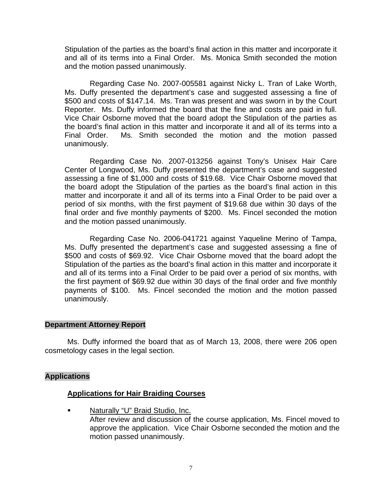Stipulation of the parties as the board's final action in this matter and incorporate it and all of its terms into a Final Order. Ms. Monica Smith seconded the motion and the motion passed unanimously.

 Regarding Case No. 2007-005581 against Nicky L. Tran of Lake Worth, Ms. Duffy presented the department's case and suggested assessing a fine of \$500 and costs of \$147.14. Ms. Tran was present and was sworn in by the Court Reporter. Ms. Duffy informed the board that the fine and costs are paid in full. Vice Chair Osborne moved that the board adopt the Stipulation of the parties as the board's final action in this matter and incorporate it and all of its terms into a Final Order. Ms. Smith seconded the motion and the motion passed unanimously.

 Regarding Case No. 2007-013256 against Tony's Unisex Hair Care Center of Longwood, Ms. Duffy presented the department's case and suggested assessing a fine of \$1,000 and costs of \$19.68. Vice Chair Osborne moved that the board adopt the Stipulation of the parties as the board's final action in this matter and incorporate it and all of its terms into a Final Order to be paid over a period of six months, with the first payment of \$19.68 due within 30 days of the final order and five monthly payments of \$200. Ms. Fincel seconded the motion and the motion passed unanimously.

 Regarding Case No. 2006-041721 against Yaqueline Merino of Tampa, Ms. Duffy presented the department's case and suggested assessing a fine of \$500 and costs of \$69.92. Vice Chair Osborne moved that the board adopt the Stipulation of the parties as the board's final action in this matter and incorporate it and all of its terms into a Final Order to be paid over a period of six months, with the first payment of \$69.92 due within 30 days of the final order and five monthly payments of \$100. Ms. Fincel seconded the motion and the motion passed unanimously.

#### **Department Attorney Report**

Ms. Duffy informed the board that as of March 13, 2008, there were 206 open cosmetology cases in the legal section.

### **Applications**

### **Applications for Hair Braiding Courses**

 Naturally "U" Braid Studio, Inc. After review and discussion of the course application, Ms. Fincel moved to approve the application. Vice Chair Osborne seconded the motion and the motion passed unanimously.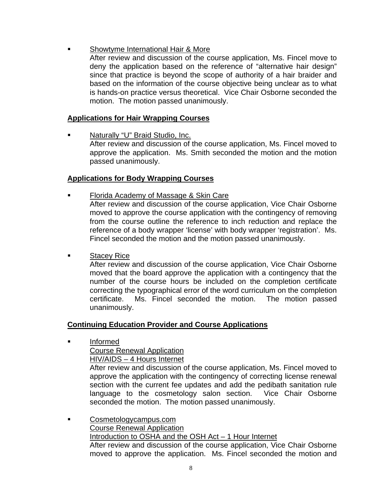# Showtyme International Hair & More

After review and discussion of the course application, Ms. Fincel move to deny the application based on the reference of "alternative hair design" since that practice is beyond the scope of authority of a hair braider and based on the information of the course objective being unclear as to what is hands-on practice versus theoretical. Vice Chair Osborne seconded the motion. The motion passed unanimously.

# **Applications for Hair Wrapping Courses**

 Naturally "U" Braid Studio, Inc. After review and discussion of the course application, Ms. Fincel moved to approve the application. Ms. Smith seconded the motion and the motion passed unanimously.

### **Applications for Body Wrapping Courses**

- Florida Academy of Massage & Skin Care
	- After review and discussion of the course application, Vice Chair Osborne moved to approve the course application with the contingency of removing from the course outline the reference to inch reduction and replace the reference of a body wrapper 'license' with body wrapper 'registration'. Ms. Fincel seconded the motion and the motion passed unanimously.
- **Stacey Rice**

After review and discussion of the course application, Vice Chair Osborne moved that the board approve the application with a contingency that the number of the course hours be included on the completion certificate correcting the typographical error of the word curriculum on the completion certificate. Ms. Fincel seconded the motion. The motion passed unanimously.

### **Continuing Education Provider and Course Applications**

Informed

Course Renewal Application

### HIV/AIDS – 4 Hours Internet

After review and discussion of the course application, Ms. Fincel moved to approve the application with the contingency of correcting license renewal section with the current fee updates and add the pedibath sanitation rule language to the cosmetology salon section. Vice Chair Osborne seconded the motion. The motion passed unanimously.

 Cosmetologycampus.com Course Renewal Application Introduction to OSHA and the OSH Act – 1 Hour Internet After review and discussion of the course application, Vice Chair Osborne moved to approve the application. Ms. Fincel seconded the motion and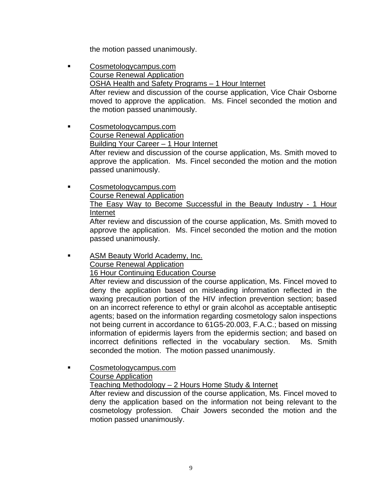the motion passed unanimously.

- Cosmetologycampus.com Course Renewal Application OSHA Health and Safety Programs – 1 Hour Internet After review and discussion of the course application, Vice Chair Osborne moved to approve the application. Ms. Fincel seconded the motion and the motion passed unanimously.
- Cosmetologycampus.com Course Renewal Application Building Your Career – 1 Hour Internet After review and discussion of the course application, Ms. Smith moved to approve the application. Ms. Fincel seconded the motion and the motion passed unanimously.
- Cosmetologycampus.com Course Renewal Application The Easy Way to Become Successful in the Beauty Industry - 1 Hour Internet After review and discussion of the course application, Ms. Smith moved to

approve the application. Ms. Fincel seconded the motion and the motion passed unanimously.

**ASM Beauty World Academy, Inc.**  Course Renewal Application 16 Hour Continuing Education Course

After review and discussion of the course application, Ms. Fincel moved to deny the application based on misleading information reflected in the waxing precaution portion of the HIV infection prevention section; based on an incorrect reference to ethyl or grain alcohol as acceptable antiseptic agents; based on the information regarding cosmetology salon inspections not being current in accordance to 61G5-20.003, F.A.C.; based on missing information of epidermis layers from the epidermis section; and based on incorrect definitions reflected in the vocabulary section. Ms. Smith seconded the motion. The motion passed unanimously.

 Cosmetologycampus.com Course Application

Teaching Methodology – 2 Hours Home Study & Internet

After review and discussion of the course application, Ms. Fincel moved to deny the application based on the information not being relevant to the cosmetology profession. Chair Jowers seconded the motion and the motion passed unanimously.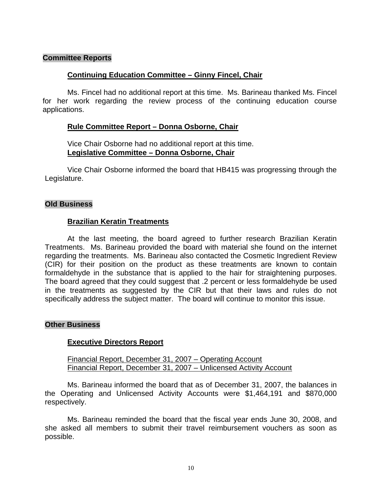#### **Committee Reports**

#### **Continuing Education Committee – Ginny Fincel, Chair**

 Ms. Fincel had no additional report at this time. Ms. Barineau thanked Ms. Fincel for her work regarding the review process of the continuing education course applications.

#### **Rule Committee Report – Donna Osborne, Chair**

 Vice Chair Osborne had no additional report at this time. **Legislative Committee – Donna Osborne, Chair**

 Vice Chair Osborne informed the board that HB415 was progressing through the Legislature.

#### **Old Business**

#### **Brazilian Keratin Treatments**

 At the last meeting, the board agreed to further research Brazilian Keratin Treatments. Ms. Barineau provided the board with material she found on the internet regarding the treatments. Ms. Barineau also contacted the Cosmetic Ingredient Review (CIR) for their position on the product as these treatments are known to contain formaldehyde in the substance that is applied to the hair for straightening purposes. The board agreed that they could suggest that .2 percent or less formaldehyde be used in the treatments as suggested by the CIR but that their laws and rules do not specifically address the subject matter. The board will continue to monitor this issue.

#### **Other Business**

### **Executive Directors Report**

 Financial Report, December 31, 2007 – Operating Account Financial Report, December 31, 2007 – Unlicensed Activity Account

 Ms. Barineau informed the board that as of December 31, 2007, the balances in the Operating and Unlicensed Activity Accounts were \$1,464,191 and \$870,000 respectively.

 Ms. Barineau reminded the board that the fiscal year ends June 30, 2008, and she asked all members to submit their travel reimbursement vouchers as soon as possible.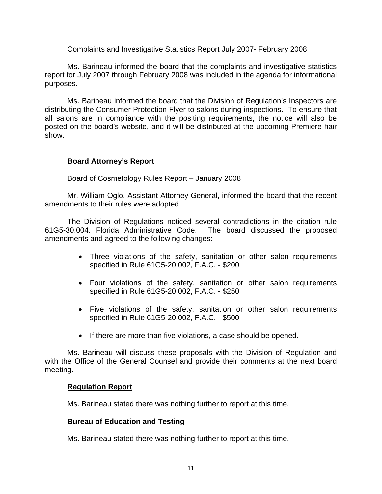### Complaints and Investigative Statistics Report July 2007- February 2008

 Ms. Barineau informed the board that the complaints and investigative statistics report for July 2007 through February 2008 was included in the agenda for informational purposes.

 Ms. Barineau informed the board that the Division of Regulation's Inspectors are distributing the Consumer Protection Flyer to salons during inspections. To ensure that all salons are in compliance with the positing requirements, the notice will also be posted on the board's website, and it will be distributed at the upcoming Premiere hair show.

# **Board Attorney's Report**

# Board of Cosmetology Rules Report – January 2008

 Mr. William Oglo, Assistant Attorney General, informed the board that the recent amendments to their rules were adopted.

 The Division of Regulations noticed several contradictions in the citation rule 61G5-30.004, Florida Administrative Code. The board discussed the proposed amendments and agreed to the following changes:

- Three violations of the safety, sanitation or other salon requirements specified in Rule 61G5-20.002, F.A.C. - \$200
- Four violations of the safety, sanitation or other salon requirements specified in Rule 61G5-20.002, F.A.C. - \$250
- Five violations of the safety, sanitation or other salon requirements specified in Rule 61G5-20.002, F.A.C. - \$500
- If there are more than five violations, a case should be opened.

 Ms. Barineau will discuss these proposals with the Division of Regulation and with the Office of the General Counsel and provide their comments at the next board meeting.

# **Regulation Report**

Ms. Barineau stated there was nothing further to report at this time.

# **Bureau of Education and Testing**

Ms. Barineau stated there was nothing further to report at this time.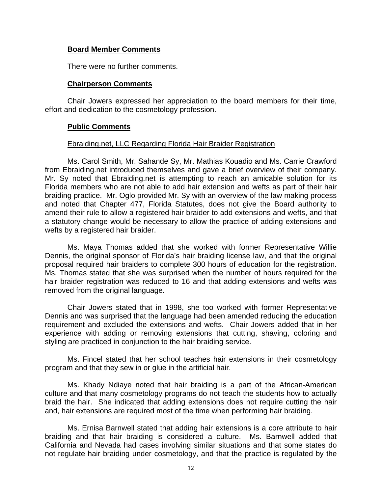#### **Board Member Comments**

There were no further comments.

#### **Chairperson Comments**

 Chair Jowers expressed her appreciation to the board members for their time, effort and dedication to the cosmetology profession.

### **Public Comments**

#### Ebraiding.net, LLC Regarding Florida Hair Braider Registration

 Ms. Carol Smith, Mr. Sahande Sy, Mr. Mathias Kouadio and Ms. Carrie Crawford from Ebraiding.net introduced themselves and gave a brief overview of their company. Mr. Sy noted that Ebraiding.net is attempting to reach an amicable solution for its Florida members who are not able to add hair extension and wefts as part of their hair braiding practice. Mr. Oglo provided Mr. Sy with an overview of the law making process and noted that Chapter 477, Florida Statutes, does not give the Board authority to amend their rule to allow a registered hair braider to add extensions and wefts, and that a statutory change would be necessary to allow the practice of adding extensions and wefts by a registered hair braider.

 Ms. Maya Thomas added that she worked with former Representative Willie Dennis, the original sponsor of Florida's hair braiding license law, and that the original proposal required hair braiders to complete 300 hours of education for the registration. Ms. Thomas stated that she was surprised when the number of hours required for the hair braider registration was reduced to 16 and that adding extensions and wefts was removed from the original language.

 Chair Jowers stated that in 1998, she too worked with former Representative Dennis and was surprised that the language had been amended reducing the education requirement and excluded the extensions and wefts. Chair Jowers added that in her experience with adding or removing extensions that cutting, shaving, coloring and styling are practiced in conjunction to the hair braiding service.

 Ms. Fincel stated that her school teaches hair extensions in their cosmetology program and that they sew in or glue in the artificial hair.

 Ms. Khady Ndiaye noted that hair braiding is a part of the African-American culture and that many cosmetology programs do not teach the students how to actually braid the hair. She indicated that adding extensions does not require cutting the hair and, hair extensions are required most of the time when performing hair braiding.

 Ms. Ernisa Barnwell stated that adding hair extensions is a core attribute to hair braiding and that hair braiding is considered a culture. Ms. Barnwell added that California and Nevada had cases involving similar situations and that some states do not regulate hair braiding under cosmetology, and that the practice is regulated by the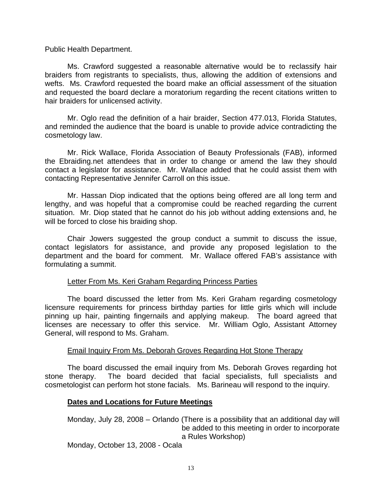Public Health Department.

 Ms. Crawford suggested a reasonable alternative would be to reclassify hair braiders from registrants to specialists, thus, allowing the addition of extensions and wefts. Ms. Crawford requested the board make an official assessment of the situation and requested the board declare a moratorium regarding the recent citations written to hair braiders for unlicensed activity.

 Mr. Oglo read the definition of a hair braider, Section 477.013, Florida Statutes, and reminded the audience that the board is unable to provide advice contradicting the cosmetology law.

 Mr. Rick Wallace, Florida Association of Beauty Professionals (FAB), informed the Ebraiding.net attendees that in order to change or amend the law they should contact a legislator for assistance. Mr. Wallace added that he could assist them with contacting Representative Jennifer Carroll on this issue.

 Mr. Hassan Diop indicated that the options being offered are all long term and lengthy, and was hopeful that a compromise could be reached regarding the current situation. Mr. Diop stated that he cannot do his job without adding extensions and, he will be forced to close his braiding shop.

 Chair Jowers suggested the group conduct a summit to discuss the issue, contact legislators for assistance, and provide any proposed legislation to the department and the board for comment. Mr. Wallace offered FAB's assistance with formulating a summit.

### Letter From Ms. Keri Graham Regarding Princess Parties

 The board discussed the letter from Ms. Keri Graham regarding cosmetology licensure requirements for princess birthday parties for little girls which will include pinning up hair, painting fingernails and applying makeup. The board agreed that licenses are necessary to offer this service. Mr. William Oglo, Assistant Attorney General, will respond to Ms. Graham.

### Email Inquiry From Ms. Deborah Groves Regarding Hot Stone Therapy

 The board discussed the email inquiry from Ms. Deborah Groves regarding hot stone therapy. The board decided that facial specialists, full specialists and cosmetologist can perform hot stone facials. Ms. Barineau will respond to the inquiry.

### **Dates and Locations for Future Meetings**

 Monday, July 28, 2008 – Orlando (There is a possibility that an additional day will be added to this meeting in order to incorporate a Rules Workshop)

Monday, October 13, 2008 - Ocala